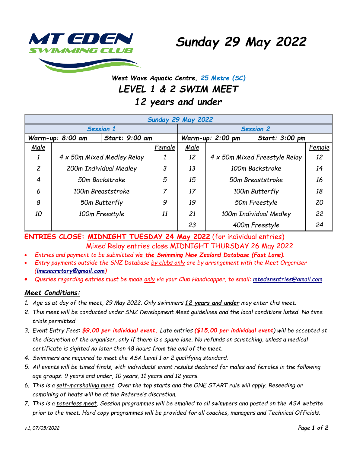

## *Sunday 29 May 2022*

## *West Wave Aquatic Centre, 25 Metre (SC) LEVEL 1 & 2 SWIM MEET 12 years and under*

| <b>Sunday 29 May 2022</b>          |                            |                  |                    |                  |                               |                |        |
|------------------------------------|----------------------------|------------------|--------------------|------------------|-------------------------------|----------------|--------|
|                                    |                            | <b>Session 1</b> |                    | <b>Session 2</b> |                               |                |        |
| Start: 9:00 am<br>Warm-up: 8:00 am |                            |                  | Warm-up: $2:00$ pm |                  | Start: 3:00 pm                |                |        |
| Male                               |                            |                  | Female             | Male             |                               |                | Female |
|                                    | 4 x 50m Mixed Medley Relay |                  |                    | 12               | 4 x 50m Mixed Freestyle Relay |                | 12     |
| $\overline{c}$                     | 200m Individual Medley     |                  | 3                  | 13               | 100m Backstroke               |                | 14     |
| $\overline{4}$                     | 50m Backstroke             |                  | 5                  | 15               | 50m Breaststroke              |                | 16     |
| 6                                  | 100m Breaststroke          |                  | 7                  | 17               | 100m Butterfly                |                | 18     |
| 8                                  | 50m Butterfly              |                  | 9                  | 19               | 50m Freestyle                 |                | 20     |
| 10                                 | 100m Freestyle             |                  | 11                 | 21               | 100m Individual Medley        |                | 22     |
|                                    |                            |                  |                    | 23               |                               | 400m Freestyle | 24     |

**ENTRIES CLOSE: MIDNIGHT TUESDAY 24 May 2022** (for individual entries)

Mixed Relay entries close MIDNIGHT THURSDAY 26 May 2022

- *Entries and payment to be submitted via the Swimming New Zealand Database (Fast Lane).*
- *Entry payments outside the SNZ Database by clubs only are by arrangement with the Meet Organiser ([lmesecretary@gmail.com](mailto:lmesecretary@gmail.com))*
- *Queries regarding entries must be made only via your Club Handicapper, to email: [mtedenentries@gmail.com](mailto:mtedenentries@gmail.com)*

## *Meet Conditions:*

- *1. Age as at day of the meet, 29 May 2022. Only swimmers 12 years and under may enter this meet.*
- *2. This meet will be conducted under SNZ Development Meet guidelines and the local conditions listed. No time trials permitted.*
- *3. Event Entry Fees: \$9.00 per individual event. Late entries (\$15.00 per individual event) will be accepted at the discretion of the organiser, only if there is a spare lane. No refunds on scratching, unless a medical certificate is sighted no later than 48 hours from the end of the meet.*
- *4. Swimmers are required to meet the ASA Level 1 or 2 qualifying standard.*
- *5. All events will be timed finals, with individuals' event results declared for males and females in the following age groups: 9 years and under, 10 years, 11 years and 12 years.*
- *6. This is a self-marshalling meet. Over the top starts and the ONE START rule will apply. Reseeding or combining of heats will be at the Referee's discretion.*
- *7. This is a paperless meet. Session programmes will be emailed to all swimmers and posted on the ASA website prior to the meet. Hard copy programmes will be provided for all coaches, managers and Technical Officials.*